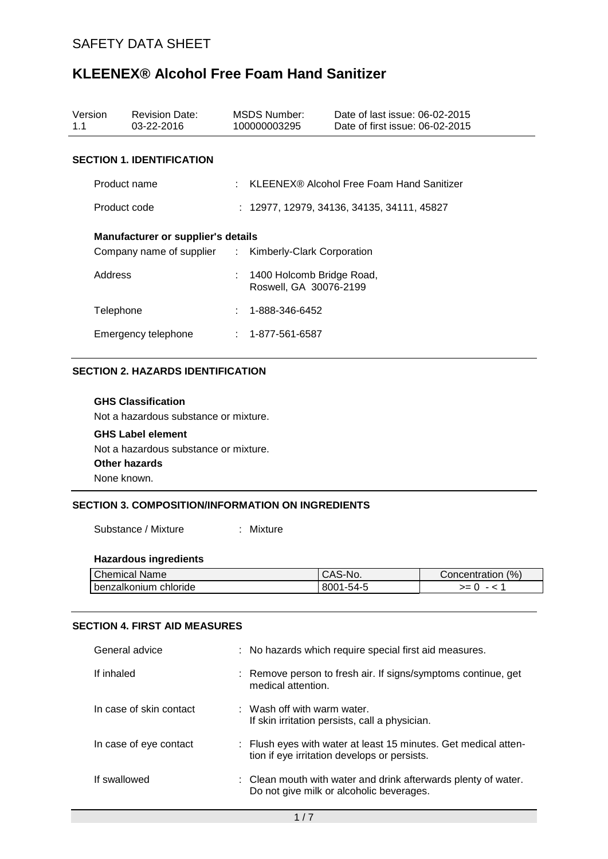| Version<br>1.1      | <b>Revision Date:</b><br>03-22-2016                                                         |  | MSDS Number:<br>100000003295                          | Date of last issue: 06-02-2015<br>Date of first issue: 06-02-2015 |  |  |  |
|---------------------|---------------------------------------------------------------------------------------------|--|-------------------------------------------------------|-------------------------------------------------------------------|--|--|--|
|                     | <b>SECTION 1. IDENTIFICATION</b>                                                            |  |                                                       |                                                                   |  |  |  |
|                     | Product name                                                                                |  | : KLEENEX® Alcohol Free Foam Hand Sanitizer           |                                                                   |  |  |  |
|                     | Product code                                                                                |  | $: 12977, 12979, 34136, 34135, 34111, 45827$          |                                                                   |  |  |  |
|                     | Manufacturer or supplier's details<br>Company name of supplier : Kimberly-Clark Corporation |  |                                                       |                                                                   |  |  |  |
| Address             |                                                                                             |  | : 1400 Holcomb Bridge Road,<br>Roswell, GA 30076-2199 |                                                                   |  |  |  |
|                     | Telephone                                                                                   |  | 1-888-346-6452                                        |                                                                   |  |  |  |
| Emergency telephone |                                                                                             |  | $: 1 - 877 - 561 - 6587$                              |                                                                   |  |  |  |

### **SECTION 2. HAZARDS IDENTIFICATION**

## **GHS Classification** Not a hazardous substance or mixture. **GHS Label element** Not a hazardous substance or mixture. **Other hazards** None known.

### **SECTION 3. COMPOSITION/INFORMATION ON INGREDIENTS**

Substance / Mixture : Mixture

### **Hazardous ingredients**

| <b>Chemical Name</b>  | S-NO.<br>CAJ | (% )<br>Concentration |
|-----------------------|--------------|-----------------------|
| benzalkonium chloride | 8001-54-5    | >=                    |

#### **SECTION 4. FIRST AID MEASURES**

| General advice          | : No hazards which require special first aid measures.                                                          |
|-------------------------|-----------------------------------------------------------------------------------------------------------------|
| If inhaled              | : Remove person to fresh air. If signs/symptoms continue, get<br>medical attention.                             |
| In case of skin contact | $:$ Wash off with warm water.<br>If skin irritation persists, call a physician.                                 |
| In case of eye contact  | : Flush eyes with water at least 15 minutes. Get medical atten-<br>tion if eye irritation develops or persists. |
| If swallowed            | : Clean mouth with water and drink afterwards plenty of water.<br>Do not give milk or alcoholic beverages.      |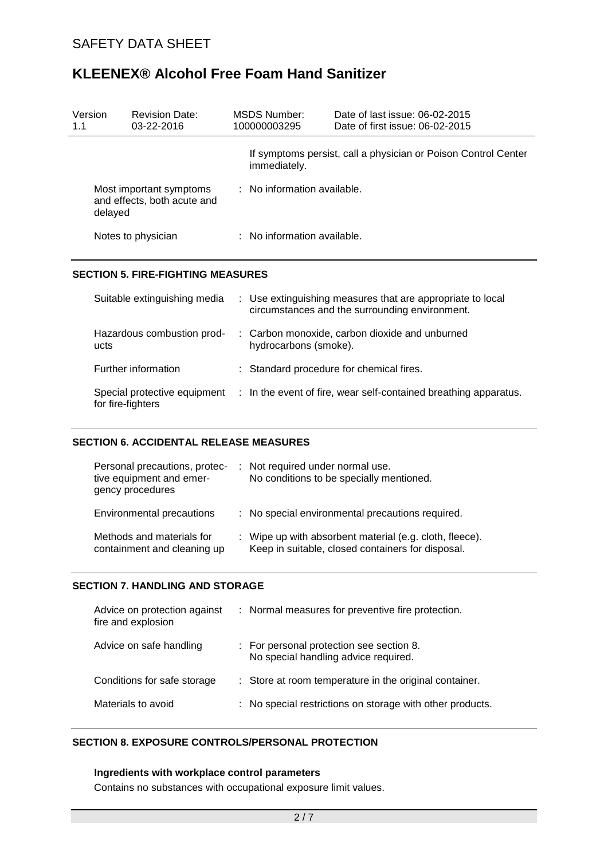| Version<br>1.1     | <b>Revision Date:</b><br>$03 - 22 - 2016$                         | MSDS Number:<br>100000003295           | Date of last issue: 06-02-2015<br>Date of first issue: 06-02-2015 |  |
|--------------------|-------------------------------------------------------------------|----------------------------------------|-------------------------------------------------------------------|--|
|                    |                                                                   | immediately.                           | If symptoms persist, call a physician or Poison Control Center    |  |
|                    | Most important symptoms<br>and effects, both acute and<br>delayed | $\therefore$ No information available. |                                                                   |  |
| Notes to physician |                                                                   | : No information available.            |                                                                   |  |
|                    |                                                                   |                                        |                                                                   |  |

### **SECTION 5. FIRE-FIGHTING MEASURES**

| Suitable extinguishing media                      |                       | : Use extinguishing measures that are appropriate to local<br>circumstances and the surrounding environment. |
|---------------------------------------------------|-----------------------|--------------------------------------------------------------------------------------------------------------|
| Hazardous combustion prod-<br>ucts                | hydrocarbons (smoke). | : Carbon monoxide, carbon dioxide and unburned                                                               |
| Further information                               |                       | : Standard procedure for chemical fires.                                                                     |
| Special protective equipment<br>for fire-fighters |                       | : In the event of fire, wear self-contained breathing apparatus.                                             |

### **SECTION 6. ACCIDENTAL RELEASE MEASURES**

| Personal precautions, protec-<br>tive equipment and emer-<br>gency procedures | : Not required under normal use.<br>No conditions to be specially mentioned.                                 |
|-------------------------------------------------------------------------------|--------------------------------------------------------------------------------------------------------------|
| Environmental precautions                                                     | : No special environmental precautions required.                                                             |
| Methods and materials for<br>containment and cleaning up                      | : Wipe up with absorbent material (e.g. cloth, fleece).<br>Keep in suitable, closed containers for disposal. |

### **SECTION 7. HANDLING AND STORAGE**

| Advice on protection against<br>fire and explosion | : Normal measures for preventive fire protection.                                |
|----------------------------------------------------|----------------------------------------------------------------------------------|
| Advice on safe handling                            | : For personal protection see section 8.<br>No special handling advice required. |
| Conditions for safe storage                        | : Store at room temperature in the original container.                           |
| Materials to avoid                                 | : No special restrictions on storage with other products.                        |

### **SECTION 8. EXPOSURE CONTROLS/PERSONAL PROTECTION**

#### **Ingredients with workplace control parameters**

Contains no substances with occupational exposure limit values.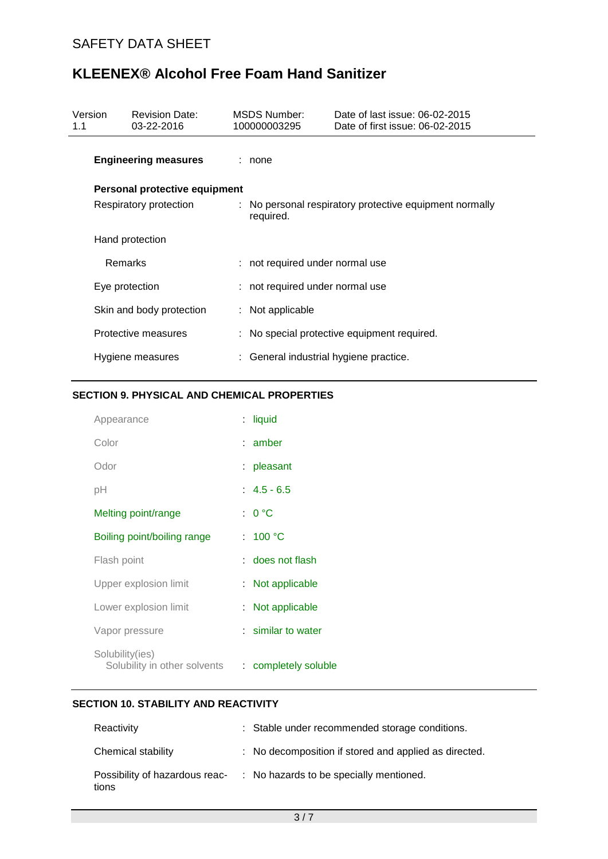| Version<br>1.1              | MSDS Number:<br><b>Revision Date:</b><br>03-22-2016<br>100000003295 |                               |                                                                      | Date of last issue: 06-02-2015<br>Date of first issue: 06-02-2015 |                                             |
|-----------------------------|---------------------------------------------------------------------|-------------------------------|----------------------------------------------------------------------|-------------------------------------------------------------------|---------------------------------------------|
| <b>Engineering measures</b> |                                                                     |                               | : none                                                               |                                                                   |                                             |
|                             |                                                                     | Personal protective equipment |                                                                      |                                                                   |                                             |
| Respiratory protection      |                                                                     |                               | : No personal respiratory protective equipment normally<br>required. |                                                                   |                                             |
|                             |                                                                     | Hand protection               |                                                                      |                                                                   |                                             |
|                             | Remarks                                                             |                               |                                                                      | : not required under normal use                                   |                                             |
| Eye protection              |                                                                     |                               | : not required under normal use                                      |                                                                   |                                             |
|                             |                                                                     | Skin and body protection      |                                                                      | $:$ Not applicable                                                |                                             |
|                             |                                                                     | Protective measures           |                                                                      |                                                                   | : No special protective equipment required. |
|                             |                                                                     | Hygiene measures              |                                                                      | : General industrial hygiene practice.                            |                                             |

### **SECTION 9. PHYSICAL AND CHEMICAL PROPERTIES**

| Appearance                                      |    | : liquid             |
|-------------------------------------------------|----|----------------------|
| Color                                           |    | $:$ amber            |
| Odor                                            |    | : pleasant           |
| рH                                              |    | $: 4.5 - 6.5$        |
| Melting point/range                             |    | : 0 °C               |
| Boiling point/boiling range                     |    | : 100 °C             |
| Flash point                                     |    | : does not flash     |
| Upper explosion limit                           |    | $:$ Not applicable   |
| Lower explosion limit                           | t. | Not applicable       |
| Vapor pressure                                  |    | : similar to water   |
| Solubility(ies)<br>Solubility in other solvents |    | : completely soluble |

### **SECTION 10. STABILITY AND REACTIVITY**

| Reactivity                              | : Stable under recommended storage conditions.        |
|-----------------------------------------|-------------------------------------------------------|
| Chemical stability                      | : No decomposition if stored and applied as directed. |
| Possibility of hazardous reac-<br>tions | : No hazards to be specially mentioned.               |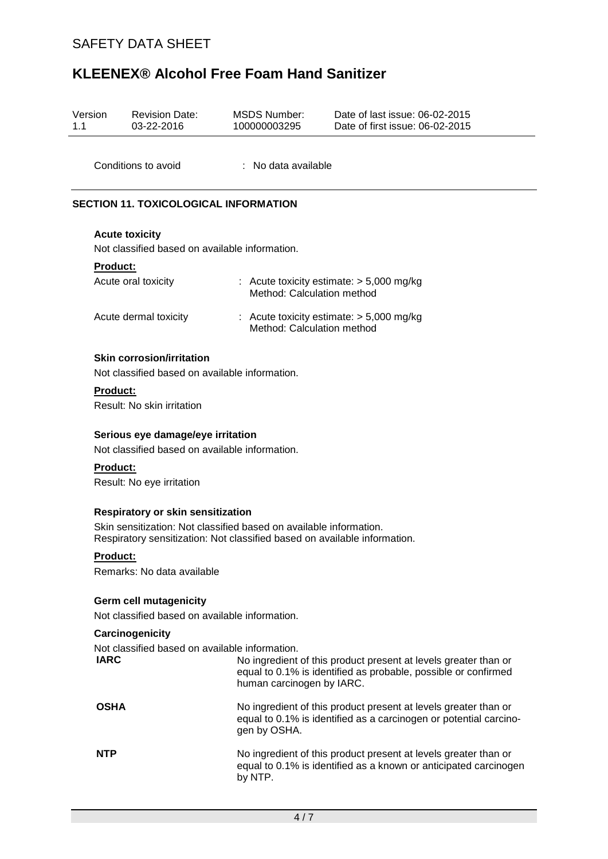| Version<br>1.1                                                |                                                                                                                                                                                      | <b>Revision Date:</b><br>03-22-2016                                                | <b>MSDS Number:</b><br>100000003295                                                                                                            | Date of last issue: 06-02-2015<br>Date of first issue: 06-02-2015                                                                    |  |  |  |  |  |
|---------------------------------------------------------------|--------------------------------------------------------------------------------------------------------------------------------------------------------------------------------------|------------------------------------------------------------------------------------|------------------------------------------------------------------------------------------------------------------------------------------------|--------------------------------------------------------------------------------------------------------------------------------------|--|--|--|--|--|
|                                                               |                                                                                                                                                                                      | Conditions to avoid                                                                | : No data available                                                                                                                            |                                                                                                                                      |  |  |  |  |  |
|                                                               | <b>SECTION 11. TOXICOLOGICAL INFORMATION</b>                                                                                                                                         |                                                                                    |                                                                                                                                                |                                                                                                                                      |  |  |  |  |  |
|                                                               | <b>Acute toxicity</b><br>Not classified based on available information.                                                                                                              |                                                                                    |                                                                                                                                                |                                                                                                                                      |  |  |  |  |  |
|                                                               | <b>Product:</b>                                                                                                                                                                      |                                                                                    |                                                                                                                                                |                                                                                                                                      |  |  |  |  |  |
|                                                               |                                                                                                                                                                                      | Acute oral toxicity                                                                | Method: Calculation method                                                                                                                     | : Acute toxicity estimate: $> 5,000$ mg/kg                                                                                           |  |  |  |  |  |
|                                                               |                                                                                                                                                                                      | Acute dermal toxicity                                                              | Method: Calculation method                                                                                                                     | : Acute toxicity estimate: $> 5,000$ mg/kg                                                                                           |  |  |  |  |  |
|                                                               |                                                                                                                                                                                      | <b>Skin corrosion/irritation</b><br>Not classified based on available information. |                                                                                                                                                |                                                                                                                                      |  |  |  |  |  |
|                                                               | <b>Product:</b>                                                                                                                                                                      | Result: No skin irritation                                                         |                                                                                                                                                |                                                                                                                                      |  |  |  |  |  |
|                                                               | Serious eye damage/eye irritation<br>Not classified based on available information.                                                                                                  |                                                                                    |                                                                                                                                                |                                                                                                                                      |  |  |  |  |  |
|                                                               | <b>Product:</b>                                                                                                                                                                      | Result: No eye irritation                                                          |                                                                                                                                                |                                                                                                                                      |  |  |  |  |  |
|                                                               | Respiratory or skin sensitization<br>Skin sensitization: Not classified based on available information.<br>Respiratory sensitization: Not classified based on available information. |                                                                                    |                                                                                                                                                |                                                                                                                                      |  |  |  |  |  |
|                                                               | Product:                                                                                                                                                                             | Remarks: No data available                                                         |                                                                                                                                                |                                                                                                                                      |  |  |  |  |  |
|                                                               |                                                                                                                                                                                      | <b>Germ cell mutagenicity</b><br>Not classified based on available information.    |                                                                                                                                                |                                                                                                                                      |  |  |  |  |  |
|                                                               |                                                                                                                                                                                      | Carcinogenicity                                                                    |                                                                                                                                                |                                                                                                                                      |  |  |  |  |  |
| Not classified based on available information.<br><b>IARC</b> |                                                                                                                                                                                      |                                                                                    | human carcinogen by IARC.                                                                                                                      | No ingredient of this product present at levels greater than or<br>equal to 0.1% is identified as probable, possible or confirmed    |  |  |  |  |  |
|                                                               | <b>OSHA</b>                                                                                                                                                                          |                                                                                    | gen by OSHA.                                                                                                                                   | No ingredient of this product present at levels greater than or<br>equal to 0.1% is identified as a carcinogen or potential carcino- |  |  |  |  |  |
| <b>NTP</b>                                                    |                                                                                                                                                                                      |                                                                                    | No ingredient of this product present at levels greater than or<br>equal to 0.1% is identified as a known or anticipated carcinogen<br>by NTP. |                                                                                                                                      |  |  |  |  |  |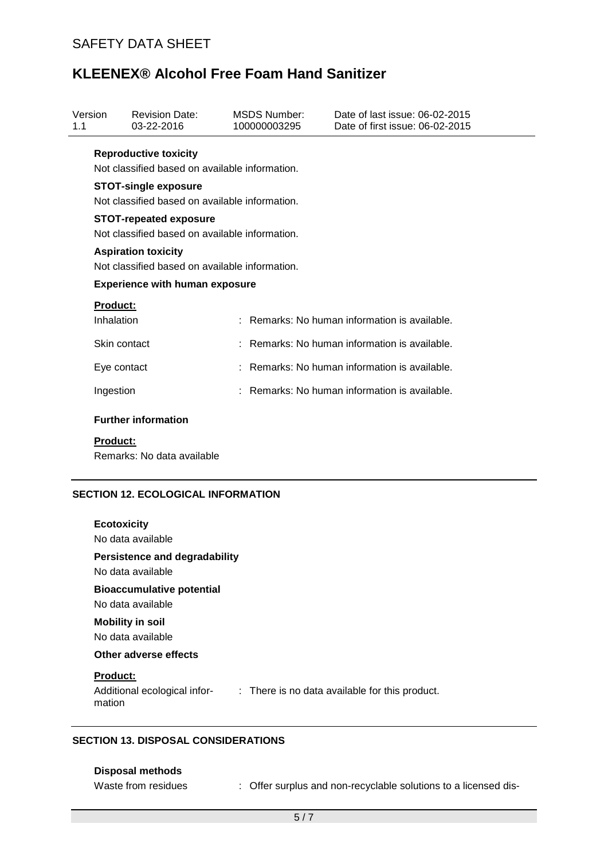| Version<br>1.1 |                                                                                 | <b>Revision Date:</b><br>03-22-2016 |  | MSDS Number:<br>100000003295 | Date of last issue: 06-02-2015<br>Date of first issue: 06-02-2015 |  |  |  |
|----------------|---------------------------------------------------------------------------------|-------------------------------------|--|------------------------------|-------------------------------------------------------------------|--|--|--|
|                | <b>Reproductive toxicity</b><br>Not classified based on available information.  |                                     |  |                              |                                                                   |  |  |  |
|                | <b>STOT-single exposure</b><br>Not classified based on available information.   |                                     |  |                              |                                                                   |  |  |  |
|                | <b>STOT-repeated exposure</b><br>Not classified based on available information. |                                     |  |                              |                                                                   |  |  |  |
|                | <b>Aspiration toxicity</b><br>Not classified based on available information.    |                                     |  |                              |                                                                   |  |  |  |
|                | <b>Experience with human exposure</b>                                           |                                     |  |                              |                                                                   |  |  |  |
|                | <b>Product:</b><br>Inhalation                                                   |                                     |  |                              | Remarks: No human information is available.                       |  |  |  |
|                | Skin contact                                                                    |                                     |  |                              | : Remarks: No human information is available.                     |  |  |  |
|                | Eye contact                                                                     |                                     |  |                              | Remarks: No human information is available.                       |  |  |  |
|                | Ingestion                                                                       |                                     |  |                              | : Remarks: No human information is available.                     |  |  |  |
|                |                                                                                 | <b>Further information</b>          |  |                              |                                                                   |  |  |  |
|                | <b>Product:</b>                                                                 |                                     |  |                              |                                                                   |  |  |  |

Remarks: No data available

### **SECTION 12. ECOLOGICAL INFORMATION**

| <b>Ecotoxicity</b>                                                                       |
|------------------------------------------------------------------------------------------|
| No data available                                                                        |
| Persistence and degradability                                                            |
| No data available                                                                        |
| <b>Bioaccumulative potential</b>                                                         |
| No data available                                                                        |
| <b>Mobility in soil</b>                                                                  |
| No data available                                                                        |
| Other adverse effects                                                                    |
| <b>Product:</b>                                                                          |
| Additional ecological infor-<br>: There is no data available for this product.<br>mation |
|                                                                                          |
|                                                                                          |

### **SECTION 13. DISPOSAL CONSIDERATIONS**

### **Disposal methods**

Waste from residues : Offer surplus and non-recyclable solutions to a licensed dis-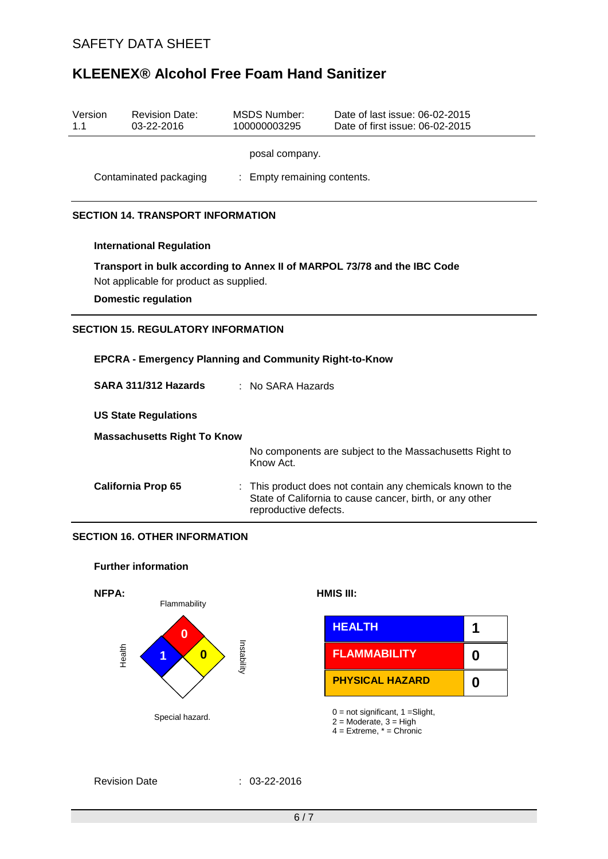| Version<br>1.1                            |                                                                          | <b>Revision Date:</b><br>03-22-2016 | <b>MSDS Number:</b><br>100000003295                     | Date of last issue: 06-02-2015<br>Date of first issue: 06-02-2015                                                      |  |  |  |  |  |
|-------------------------------------------|--------------------------------------------------------------------------|-------------------------------------|---------------------------------------------------------|------------------------------------------------------------------------------------------------------------------------|--|--|--|--|--|
|                                           | posal company.                                                           |                                     |                                                         |                                                                                                                        |  |  |  |  |  |
|                                           | Contaminated packaging<br>: Empty remaining contents.                    |                                     |                                                         |                                                                                                                        |  |  |  |  |  |
| <b>SECTION 14. TRANSPORT INFORMATION</b>  |                                                                          |                                     |                                                         |                                                                                                                        |  |  |  |  |  |
|                                           | <b>International Regulation</b>                                          |                                     |                                                         |                                                                                                                        |  |  |  |  |  |
|                                           | Transport in bulk according to Annex II of MARPOL 73/78 and the IBC Code |                                     |                                                         |                                                                                                                        |  |  |  |  |  |
|                                           | Not applicable for product as supplied.<br><b>Domestic regulation</b>    |                                     |                                                         |                                                                                                                        |  |  |  |  |  |
| <b>SECTION 15. REGULATORY INFORMATION</b> |                                                                          |                                     |                                                         |                                                                                                                        |  |  |  |  |  |
|                                           |                                                                          |                                     |                                                         |                                                                                                                        |  |  |  |  |  |
|                                           | <b>EPCRA - Emergency Planning and Community Right-to-Know</b>            |                                     |                                                         |                                                                                                                        |  |  |  |  |  |
|                                           | : No SARA Hazards<br>SARA 311/312 Hazards                                |                                     |                                                         |                                                                                                                        |  |  |  |  |  |
|                                           | <b>US State Regulations</b>                                              |                                     |                                                         |                                                                                                                        |  |  |  |  |  |
|                                           | <b>Massachusetts Right To Know</b>                                       |                                     |                                                         |                                                                                                                        |  |  |  |  |  |
|                                           |                                                                          | Know Act.                           | No components are subject to the Massachusetts Right to |                                                                                                                        |  |  |  |  |  |
|                                           |                                                                          | <b>California Prop 65</b>           | reproductive defects.                                   | : This product does not contain any chemicals known to the<br>State of California to cause cancer, birth, or any other |  |  |  |  |  |
| <b>SECTION 16. OTHER INFORMATION</b>      |                                                                          |                                     |                                                         |                                                                                                                        |  |  |  |  |  |
| <b>Further information</b>                |                                                                          |                                     |                                                         |                                                                                                                        |  |  |  |  |  |
|                                           | NFPA:                                                                    | Flammability                        |                                                         | HMIS III:                                                                                                              |  |  |  |  |  |
|                                           |                                                                          |                                     |                                                         |                                                                                                                        |  |  |  |  |  |



|                   | <b>HEALTH</b>          |  |
|-------------------|------------------------|--|
| hilidability<br>0 | <b>FLAMMABILITY</b>    |  |
|                   | <b>PHYSICAL HAZARD</b> |  |

4 = Extreme, \* = Chronic

### Revision Date : 03-22-2016